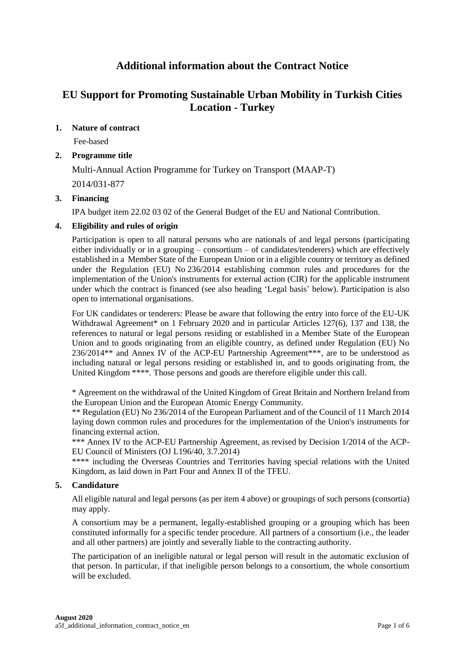# **Additional information about the Contract Notice**

# **EU Support for Promoting Sustainable Urban Mobility in Turkish Cities Location - Turkey**

# **1. Nature of contract**

Fee-based

# **2. Programme title**

Multi-Annual Action Programme for Turkey on Transport (MAAP-T) 2014/031-877

# **3. Financing**

IPA budget item 22.02 03 02 of the General Budget of the EU and National Contribution.

# **4. Eligibility and rules of origin**

Participation is open to all natural persons who are nationals of and legal persons (participating either individually or in a grouping – consortium – of candidates/tenderers) which are effectively established in a Member State of the European Union or in a eligible country or territory as defined under the Regulation (EU) No 236/2014 establishing common rules and procedures for the implementation of the Union's instruments for external action (CIR) for the applicable instrument under which the contract is financed (see also heading 'Legal basis' below). Participation is also open to international organisations.

For UK candidates or tenderers: Please be aware that following the entry into force of the EU-UK Withdrawal Agreement<sup>\*</sup> on 1 February 2020 and in particular Articles 127(6), 137 and 138, the references to natural or legal persons residing or established in a Member State of the European Union and to goods originating from an eligible country, as defined under Regulation (EU) No 236/2014\*\* and Annex IV of the ACP-EU Partnership Agreement\*\*\*, are to be understood as including natural or legal persons residing or established in, and to goods originating from, the United Kingdom \*\*\*\*. Those persons and goods are therefore eligible under this call.

\* Agreement on the withdrawal of the United Kingdom of Great Britain and Northern Ireland from the European Union and the European Atomic Energy Community.

\*\* Regulation (EU) No 236/2014 of the European Parliament and of the Council of 11 March 2014 laying down common rules and procedures for the implementation of the Union's instruments for financing external action.

\*\*\* Annex IV to the ACP-EU Partnership Agreement, as revised by Decision 1/2014 of the ACP-EU Council of Ministers (OJ L196/40, 3.7.2014)

\*\*\*\* including the Overseas Countries and Territories having special relations with the United Kingdom, as laid down in Part Four and Annex II of the TFEU.

# **5. Candidature**

All eligible natural and legal persons (as per item 4 above) or groupings of such persons (consortia) may apply.

A consortium may be a permanent, legally-established grouping or a grouping which has been constituted informally for a specific tender procedure. All partners of a consortium (i.e., the leader and all other partners) are jointly and severally liable to the contracting authority.

The participation of an ineligible natural or legal person will result in the automatic exclusion of that person. In particular, if that ineligible person belongs to a consortium, the whole consortium will be excluded.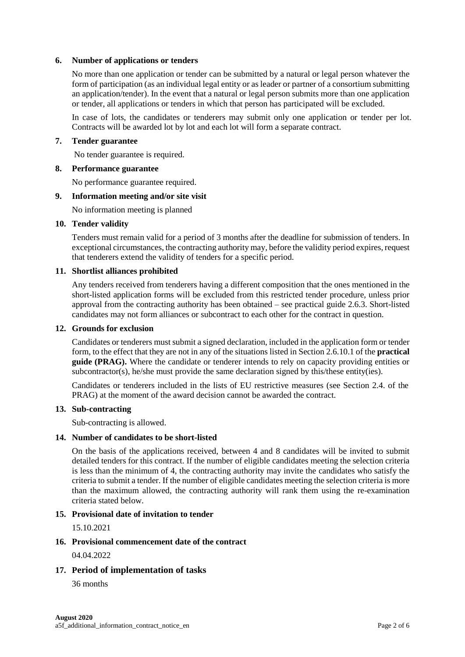# **6. Number of applications or tenders**

No more than one application or tender can be submitted by a natural or legal person whatever the form of participation (as an individual legal entity or as leader or partner of a consortium submitting an application/tender). In the event that a natural or legal person submits more than one application or tender, all applications or tenders in which that person has participated will be excluded.

In case of lots, the candidates or tenderers may submit only one application or tender per lot. Contracts will be awarded lot by lot and each lot will form a separate contract.

### **7. Tender guarantee**

No tender guarantee is required.

#### **8. Performance guarantee**

No performance guarantee required.

### **9. Information meeting and/or site visit**

No information meeting is planned

#### **10. Tender validity**

Tenders must remain valid for a period of 3 months after the deadline for submission of tenders. In exceptional circumstances, the contracting authority may, before the validity period expires, request that tenderers extend the validity of tenders for a specific period.

# **11. Shortlist alliances prohibited**

Any tenders received from tenderers having a different composition that the ones mentioned in the short-listed application forms will be excluded from this restricted tender procedure, unless prior approval from the contracting authority has been obtained – see practical guide 2.6.3. Short-listed candidates may not form alliances or subcontract to each other for the contract in question.

#### **12. Grounds for exclusion**

Candidates or tenderers must submit a signed declaration, included in the application form or tender form, to the effect that they are not in any of the situations listed in Section 2.6.10.1 of the **practical guide (PRAG).** Where the candidate or tenderer intends to rely on capacity providing entities or subcontractor(s), he/she must provide the same declaration signed by this/these entity(ies).

Candidates or tenderers included in the lists of EU restrictive measures (see Section 2.4. of the PRAG) at the moment of the award decision cannot be awarded the contract.

#### **13. Sub-contracting**

Sub-contracting is allowed.

# **14. Number of candidates to be short-listed**

On the basis of the applications received, between 4 and 8 candidates will be invited to submit detailed tenders for this contract. If the number of eligible candidates meeting the selection criteria is less than the minimum of 4, the contracting authority may invite the candidates who satisfy the criteria to submit a tender. If the number of eligible candidates meeting the selection criteria is more than the maximum allowed, the contracting authority will rank them using the re-examination criteria stated below.

### **15. Provisional date of invitation to tender**

15.10.2021

# **16. Provisional commencement date of the contract**

04.04.2022

# **17. Period of implementation of tasks**

36 months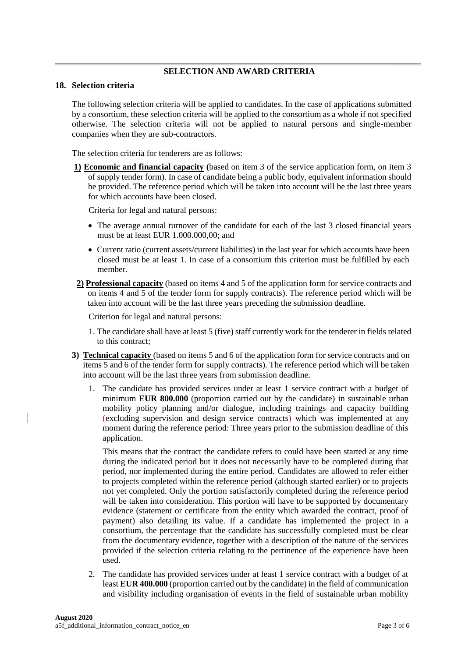# **SELECTION AND AWARD CRITERIA**

#### **18. Selection criteria**

The following selection criteria will be applied to candidates. In the case of applications submitted by a consortium, these selection criteria will be applied to the consortium as a whole if not specified otherwise. The selection criteria will not be applied to natural persons and single-member companies when they are sub-contractors.

The selection criteria for tenderers are as follows:

**1) Economic and financial capacity (**based on item 3 of the service application form, on item 3 of supply tender form). In case of candidate being a public body, equivalent information should be provided. The reference period which will be taken into account will be the last three years for which accounts have been closed.

Criteria for legal and natural persons:

- The average annual turnover of the candidate for each of the last 3 closed financial years must be at least EUR 1.000.000,00; and
- Current ratio (current assets/current liabilities) in the last year for which accounts have been closed must be at least 1. In case of a consortium this criterion must be fulfilled by each member.
- **2) Professional capacity** (based on items 4 and 5 of the application form for service contracts and on items 4 and 5 of the tender form for supply contracts). The reference period which will be taken into account will be the last three years preceding the submission deadline.

Criterion for legal and natural persons:

- 1. The candidate shall have at least 5 (five) staff currently work for the tenderer in fields related to this contract;
- **3) Technical capacity** (based on items 5 and 6 of the application form for service contracts and on items 5 and 6 of the tender form for supply contracts). The reference period which will be taken into account will be the last three years from submission deadline.
	- 1. The candidate has provided services under at least 1 service contract with a budget of minimum **EUR 800.000** (proportion carried out by the candidate) in sustainable urban mobility policy planning and/or dialogue, including trainings and capacity building (excluding supervision and design service contracts) which was implemented at any moment during the reference period: Three years prior to the submission deadline of this application.

This means that the contract the candidate refers to could have been started at any time during the indicated period but it does not necessarily have to be completed during that period, nor implemented during the entire period. Candidates are allowed to refer either to projects completed within the reference period (although started earlier) or to projects not yet completed. Only the portion satisfactorily completed during the reference period will be taken into consideration. This portion will have to be supported by documentary evidence (statement or certificate from the entity which awarded the contract, proof of payment) also detailing its value. If a candidate has implemented the project in a consortium, the percentage that the candidate has successfully completed must be clear from the documentary evidence, together with a description of the nature of the services provided if the selection criteria relating to the pertinence of the experience have been used.

2. The candidate has provided services under at least 1 service contract with a budget of at least **EUR 400.000** (proportion carried out by the candidate) in the field of communication and visibility including organisation of events in the field of sustainable urban mobility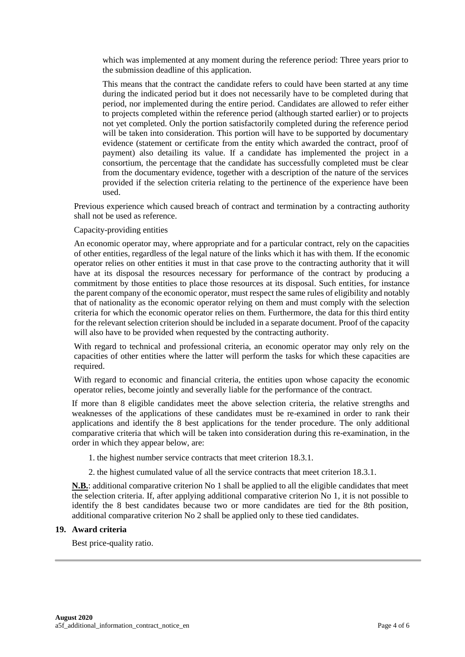which was implemented at any moment during the reference period: Three years prior to the submission deadline of this application.

This means that the contract the candidate refers to could have been started at any time during the indicated period but it does not necessarily have to be completed during that period, nor implemented during the entire period. Candidates are allowed to refer either to projects completed within the reference period (although started earlier) or to projects not yet completed. Only the portion satisfactorily completed during the reference period will be taken into consideration. This portion will have to be supported by documentary evidence (statement or certificate from the entity which awarded the contract, proof of payment) also detailing its value. If a candidate has implemented the project in a consortium, the percentage that the candidate has successfully completed must be clear from the documentary evidence, together with a description of the nature of the services provided if the selection criteria relating to the pertinence of the experience have been used.

Previous experience which caused breach of contract and termination by a contracting authority shall not be used as reference.

# Capacity-providing entities

An economic operator may, where appropriate and for a particular contract, rely on the capacities of other entities, regardless of the legal nature of the links which it has with them. If the economic operator relies on other entities it must in that case prove to the contracting authority that it will have at its disposal the resources necessary for performance of the contract by producing a commitment by those entities to place those resources at its disposal. Such entities, for instance the parent company of the economic operator, must respect the same rules of eligibility and notably that of nationality as the economic operator relying on them and must comply with the selection criteria for which the economic operator relies on them. Furthermore, the data for this third entity for the relevant selection criterion should be included in a separate document. Proof of the capacity will also have to be provided when requested by the contracting authority.

With regard to technical and professional criteria, an economic operator may only rely on the capacities of other entities where the latter will perform the tasks for which these capacities are required.

With regard to economic and financial criteria, the entities upon whose capacity the economic operator relies, become jointly and severally liable for the performance of the contract.

If more than 8 eligible candidates meet the above selection criteria, the relative strengths and weaknesses of the applications of these candidates must be re-examined in order to rank their applications and identify the 8 best applications for the tender procedure. The only additional comparative criteria that which will be taken into consideration during this re-examination, in the order in which they appear below, are:

1. the highest number service contracts that meet criterion 18.3.1.

2. the highest cumulated value of all the service contracts that meet criterion 18.3.1.

**N.B.**: additional comparative criterion No 1 shall be applied to all the eligible candidates that meet the selection criteria. If, after applying additional comparative criterion No 1, it is not possible to identify the 8 best candidates because two or more candidates are tied for the 8th position, additional comparative criterion No 2 shall be applied only to these tied candidates.

#### **19. Award criteria**

Best price-quality ratio.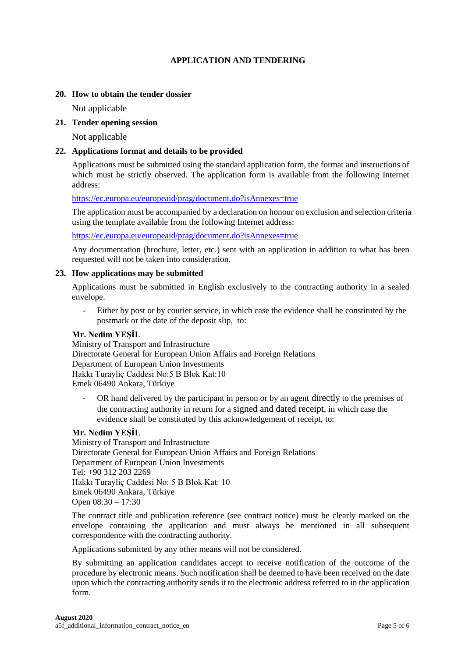# **APPLICATION AND TENDERING**

# **20. How to obtain the tender dossier**

Not applicable

# **21. Tender opening session**

Not applicable

# **22. Applications format and details to be provided**

Applications must be submitted using the standard application form, the format and instructions of which must be strictly observed. The application form is available from the following Internet address:

<https://ec.europa.eu/europeaid/prag/document.do?isAnnexes=true>

The application must be accompanied by a declaration on honour on exclusion and selection criteria using the template available from the following Internet address:

<https://ec.europa.eu/europeaid/prag/document.do?isAnnexes=true>

Any documentation (brochure, letter, etc.) sent with an application in addition to what has been requested will not be taken into consideration.

# **23. How applications may be submitted**

Applications must be submitted in English exclusively to the contracting authority in a sealed envelope.

- Either by post or by courier service, in which case the evidence shall be constituted by the postmark or the date of the deposit slip, to:

# **Mr. Nedim YEŞİL**

Ministry of Transport and Infrastructure Directorate General for European Union Affairs and Foreign Relations Department of European Union Investments Hakkı Turayliç Caddesi No:5 B Blok Kat:10 Emek 06490 Ankara, Türkiye

- OR hand delivered by the participant in person or by an agent directly to the premises of the contracting authority in return for a signed and dated receipt, in which case the evidence shall be constituted by this acknowledgement of receipt, to:

# **Mr. Nedim YEŞİL**

Ministry of Transport and Infrastructure Directorate General for European Union Affairs and Foreign Relations Department of European Union Investments Tel: +90 312 203 2269 Hakkı Turayliç Caddesi No: 5 B Blok Kat: 10 Emek 06490 Ankara, Türkiye Open 08:30 – 17:30

The contract title and publication reference (see contract notice) must be clearly marked on the envelope containing the application and must always be mentioned in all subsequent correspondence with the contracting authority.

Applications submitted by any other means will not be considered.

By submitting an application candidates accept to receive notification of the outcome of the procedure by electronic means. Such notification shall be deemed to have been received on the date upon which the contracting authority sends it to the electronic address referred to in the application form.